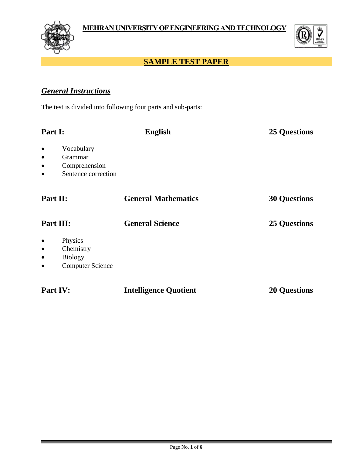



# **SAMPLE TEST PAPER**

# *General Instructions*

The test is divided into following four parts and sub-parts:

| Part I:                                                                                                           | <b>English</b>               | <b>25 Questions</b> |
|-------------------------------------------------------------------------------------------------------------------|------------------------------|---------------------|
| Vocabulary<br>$\bullet$<br>Grammar<br>$\bullet$<br>Comprehension<br>$\bullet$<br>Sentence correction<br>$\bullet$ |                              |                     |
| Part II:                                                                                                          | <b>General Mathematics</b>   | <b>30 Questions</b> |
| Part III:                                                                                                         | <b>General Science</b>       | <b>25 Questions</b> |
| Physics<br>$\bullet$<br>Chemistry<br>$\bullet$<br><b>Biology</b><br>$\bullet$<br><b>Computer Science</b>          |                              |                     |
| Part IV:                                                                                                          | <b>Intelligence Quotient</b> | <b>20 Questions</b> |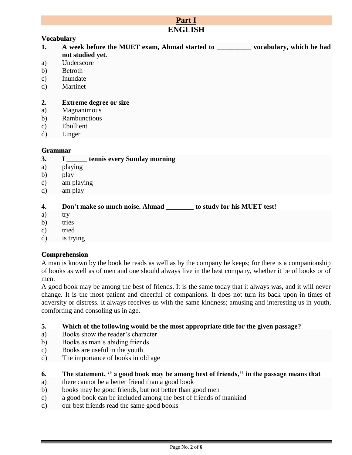| Part I         |                                                                                    |  |
|----------------|------------------------------------------------------------------------------------|--|
|                | <b>ENGLISH</b>                                                                     |  |
|                | <b>Vocabulary</b>                                                                  |  |
| 1.             | A week before the MUET exam, Ahmad started to ___________ vocabulary, which he had |  |
|                | not studied yet.                                                                   |  |
| a)             | Underscore                                                                         |  |
| b)             | Betroth                                                                            |  |
| $\mathbf{c})$  | Inundate                                                                           |  |
| $\mathbf{d}$   | Martinet                                                                           |  |
|                |                                                                                    |  |
| 2.             | <b>Extreme degree or size</b>                                                      |  |
| a)             | Magnanimous                                                                        |  |
| b)             | Rambunctious                                                                       |  |
| $\mathbf{c})$  | Ebullient                                                                          |  |
| $\mathbf{d}$   | Linger                                                                             |  |
|                |                                                                                    |  |
| <b>Grammar</b> |                                                                                    |  |
| 3.             | I ______ tennis every Sunday morning                                               |  |
| a)             | playing                                                                            |  |
| b)             | play                                                                               |  |
| $\mathbf{c})$  | am playing                                                                         |  |
| $\mathbf{d}$   | am play                                                                            |  |
|                |                                                                                    |  |
| 4.             | Don't make so much noise. Ahmad _________ to study for his MUET test!              |  |
| a)             | try                                                                                |  |
| b)             | tries                                                                              |  |

- c) tried
- d) is trying

#### **Comprehension**

A man is known by the book he reads as well as by the company he keeps; for there is a companionship of books as well as of men and one should always live in the best company, whether it be of books or of men.

A good book may be among the best of friends. It is the same today that it always was, and it will never change. It is the most patient and cheerful of companions. It does not turn its back upon in times of adversity or distress. It always receives us with the same kindness; amusing and interesting us in youth, comforting and consoling us in age.

- **5. Which of the following would be the most appropriate title for the given passage?**
- a) Books show the reader's character
- b) Books as man's abiding friends
- c) Books are useful in the youth
- d) The importance of books in old age

#### **6.** The statement, " a good book may be among best of friends," in the passage means that

- a) there cannot be a better friend than a good book
- b) books may be good friends, but not better than good men
- c) a good book can be included among the best of friends of mankind
- d) our best friends read the same good books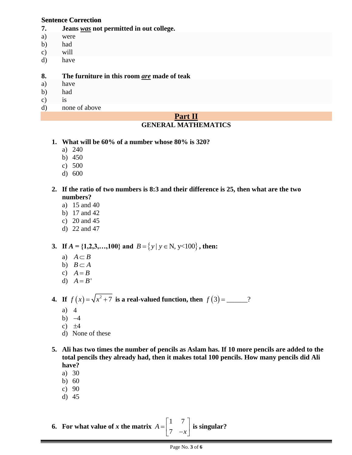#### **Sentence Correction**

- **7. Jeans** *was* **not permitted in out college.**
- a) were
- b) had
- c) will
- d) have

#### **8. The furniture in this room** *are* **made of teak**

- a) have
- b) had
- c) is
- d) none of above

#### **Part II GENERAL MATHEMATICS**

- **1. What will be 60% of a number whose 80% is 320?**
	- a) 240
	- b) 450
	- c) 500
	- d) 600

#### **2. If the ratio of two numbers is 8:3 and their difference is 25, then what are the two numbers?**

- a) 15 and 40
- b) 17 and 42
- c) 20 and 45
- d) 22 and 47

# **3.** If  $A = \{1,2,3,...,100\}$  and  $B = \{y | y \in N, y < 100\}$ , then:

- a)  $A \subset B$
- b)  $B \subset A$
- c)  $A = B$
- d)  $A = B'$

**4.** If  $f(x) = \sqrt{x^2 + 7}$  is a real-valued function, then  $f(3) =$  \_\_\_\_\_?

- a) 4
- b)  $-4$
- c)  $\pm 4$
- d) None of these
- **5. Ali has two times the number of pencils as Aslam has. If 10 more pencils are added to the total pencils they already had, then it makes total 100 pencils. How many pencils did Ali have?**
	- a) 30
	- b) 60
	- c) 90
	- d) 45

**6.** For what value of *x* the matrix  $A = \begin{bmatrix} 1 & 7 \\ 7 & -3 \end{bmatrix}$ *A x*  $=\begin{bmatrix} 1 & 7 \\ 7 & -x \end{bmatrix}$ **is singular?**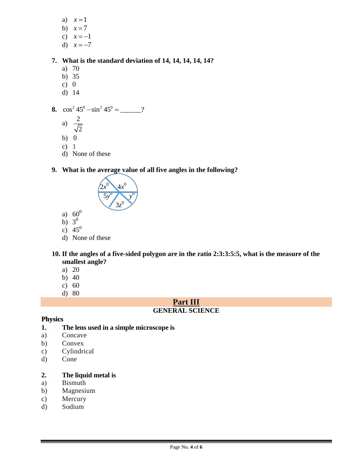- a)  $x=1$
- b)  $x = 7$
- c)  $x = -1$
- d)  $x = -7$

## **7. What is the standard deviation of 14, 14, 14, 14, 14?**

- a) 70
- b) 35
- c) 0
- d) 14
- **8.**  $\cos^2 45^\circ \sin^2 45^\circ =$  \_\_\_\_\_?
	- a)  $\frac{2}{7}$
	- 2
	- b) 0
	- c) 1 d) None of these

# **9. What is the average value of all five angles in the following?**



- a)  $60^0$
- b)  $3^0$
- c)  $45^0$
- d) None of these

### **10. If the angles of a five-sided polygon are in the ratio 2:3:3:5:5, what is the measure of the smallest angle?**

- a) 20
- b) 40
- c) 60
- d) 80

## **Part III**

## **GENERAL SCIENCE**

## **Physics**

## **1. The lens used in a simple microscope is**

- a) Concave
- b) Convex
- c) Cylindrical
- d) Cone

## **2. The liquid metal is**

- a) Bismuth
- b) Magnesium
- c) Mercury
- d) Sodium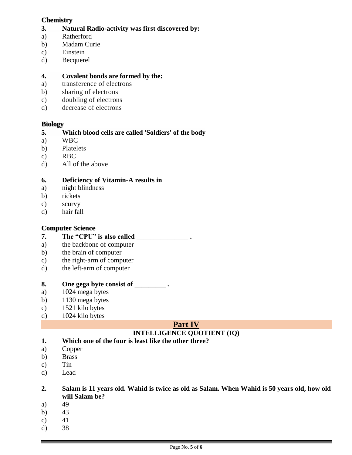#### **Chemistry**

- **3. Natural Radio-activity was first discovered by:**
- a) Ratherford
- b) Madam Curie
- c) Einstein
- d) Becquerel

### **4. Covalent bonds are formed by the:**

- a) transference of electrons
- b) sharing of electrons
- c) doubling of electrons
- d) decrease of electrons

## **Biology**

### **5. Which blood cells are called 'Soldiers' of the body**

- a) WBC
- b) Platelets
- c) RBC
- d) All of the above

### **6. Deficiency of Vitamin-A results in**

- a) night blindness
- b) rickets
- c) scurvy
- d) hair fall

## **Computer Science**

- **7. The "CPU" is also called \_\_\_\_\_\_\_\_\_\_\_\_\_\_\_ .**
- a) the backbone of computer
- b) the brain of computer
- c) the right-arm of computer
- d) the left-arm of computer

## **8. One gega byte consist of \_\_\_\_\_\_\_\_\_ .**

- a) 1024 mega bytes
- b) 1130 mega bytes
- c) 1521 kilo bytes
- d) 1024 kilo bytes

# **Part IV**

## **INTELLIGENCE QUOTIENT (IQ)**

- **1. Which one of the four is least like the other three?**
- a) Copper
- b) Brass
- c) Tin
- d) Lead

#### **2. Salam is 11 years old. Wahid is twice as old as Salam. When Wahid is 50 years old, how old will Salam be?**

- a) 49
- b) 43
- c)  $41$
- d) 38